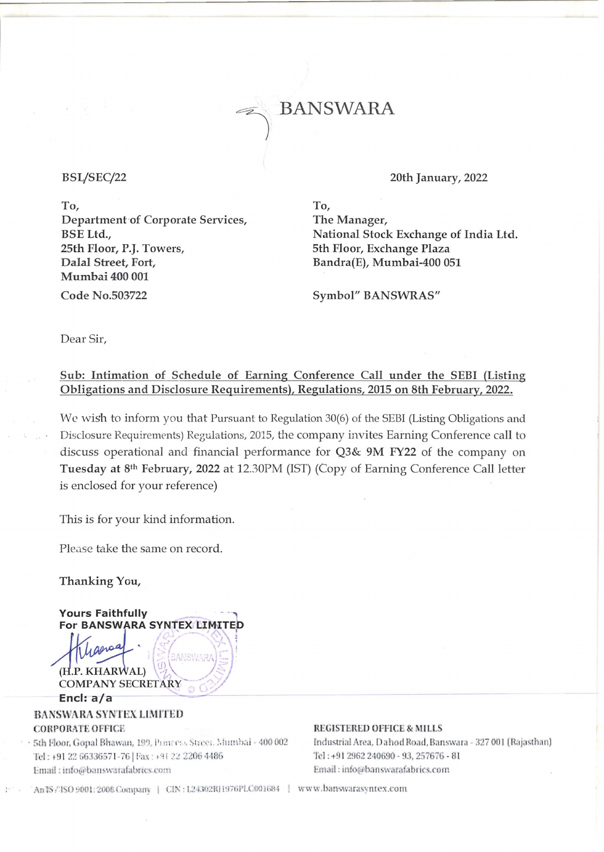**BANSWARA** 

### BSL/SEC/22

To, Department of Corporate Services, BSE Ltd., 25th Floor, P.J. Towers, Dalal Street, Fort, Mumbai 400 001 Code No.503722

20th January, 2022

To, The Manager, National Stock Exchange of India Ltd. 5th Floor, Exchange Plaza Bandra(E), Mumbai-400 051

Symbol" BANSWRAS"

Dear Sir,

## Sub: Intimation of Schedule of Earning Conference Call under the SEBI (Listing Obligations and Disclosure Requirements), Regulations, 2015 on 8th February, 2022.

We wish to inform you that Pursuant to Regulation 30(6) of the SEBI (Listing Obligations and Disclosure Requirements) Regulations, 2015, the company invites Earning Conference call to discuss operational and financial performance for Q3& 9M FY22 of the company on Tuesday at 8<sup>th</sup> February, 2022 at 12.30PM (IST) (Copy of Earning Conference Call letter is enclosed for your reference)

This is for your kind information.

Please take the same on record.

Thanking You,

**Yours Faithfully** 

For BANSWARA SYNTEX LIMITED **ANSWARI** .P. KHARWAL) (H **COMPANY SECRETARY** Encl:  $a/a$ BANSWARA SYNTEX LIMITED

## **CORPORATE OFFICE**

· 5th Floor, Gopal Bhawan, 199, Princess Street, Mumbai - 400 002 Tel: +91 22 66336571-76 | Fax: +91 22 2206 4486 Email: info@banswarafabrics.com

#### **REGISTERED OFFICE & MILLS**

Industrial Area, Dahod Road, Banswara - 327 001 (Rajasthan) Tel: +91 2962 240690 - 93, 257676 - 81 Email: info@banswarafabrics.com

An 18/180 9001:2008 Company | CIN: L24302RJ1976PLC001684 | www.banswarasyntex.com